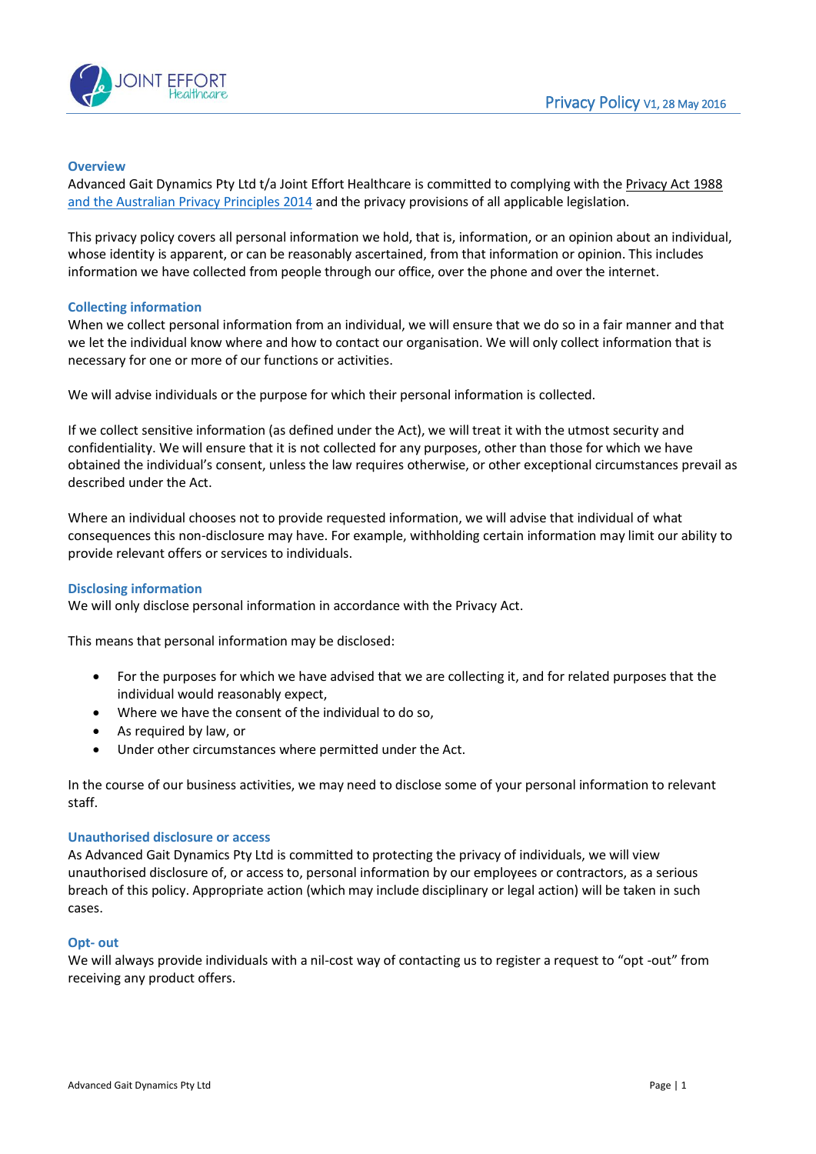

# **Overview**

Advanced Gait Dynamics Pty Ltd t/a Joint Effort Healthcare is committed to complying with th[e Privacy Act 1988](http://www.comlaw.gov.au/Series/C2004A03712) [and the Australian Privacy Principles 2014](http://www.oaic.gov.au/privacy/privacy-act/australian-privacy-principles) and the privacy provisions of all applicable legislation.

This privacy policy covers all personal information we hold, that is, information, or an opinion about an individual, whose identity is apparent, or can be reasonably ascertained, from that information or opinion. This includes information we have collected from people through our office, over the phone and over the internet.

# **Collecting information**

When we collect personal information from an individual, we will ensure that we do so in a fair manner and that we let the individual know where and how to contact our organisation. We will only collect information that is necessary for one or more of our functions or activities.

We will advise individuals or the purpose for which their personal information is collected.

If we collect sensitive information (as defined under the Act), we will treat it with the utmost security and confidentiality. We will ensure that it is not collected for any purposes, other than those for which we have obtained the individual's consent, unless the law requires otherwise, or other exceptional circumstances prevail as described under the Act.

Where an individual chooses not to provide requested information, we will advise that individual of what consequences this non-disclosure may have. For example, withholding certain information may limit our ability to provide relevant offers or services to individuals.

# **Disclosing information**

We will only disclose personal information in accordance with the Privacy Act.

This means that personal information may be disclosed:

- For the purposes for which we have advised that we are collecting it, and for related purposes that the individual would reasonably expect,
- Where we have the consent of the individual to do so,
- As required by law, or
- Under other circumstances where permitted under the Act.

In the course of our business activities, we may need to disclose some of your personal information to relevant staff.

# **Unauthorised disclosure or access**

As Advanced Gait Dynamics Pty Ltd is committed to protecting the privacy of individuals, we will view unauthorised disclosure of, or access to, personal information by our employees or contractors, as a serious breach of this policy. Appropriate action (which may include disciplinary or legal action) will be taken in such cases.

# **Opt- out**

We will always provide individuals with a nil-cost way of contacting us to register a request to "opt -out" from receiving any product offers.